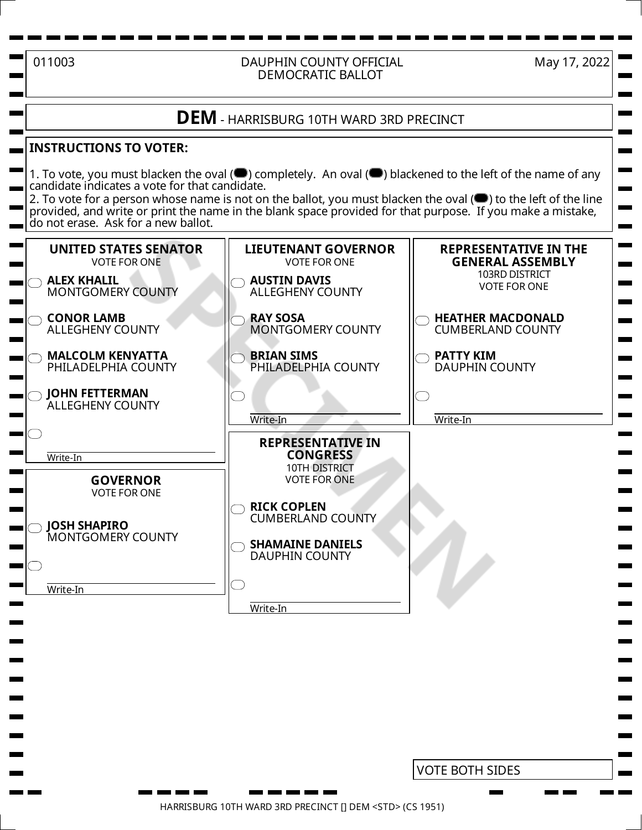## 011003 DAUPHIN COUNTY OFFICIAL DEMOCRATIC BALLOT

May 17, 2022

## **DEM** - HARRISBURG 10TH WARD 3RD PRECINCT

## **INSTRUCTIONS TO VOTER:**

1. To vote, you must blacken the oval ( $\bullet$ ) completely. An oval ( $\bullet$ ) blackened to the left of the name of any candidate indicates a vote for that candidate.

2. To vote for a person whose name is not on the ballot, you must blacken the oval  $($ **)** to the left of the line provided, and write or print the name in the blank space provided for that purpose. If you make a mistake, do not erase. Ask for a new ballot.